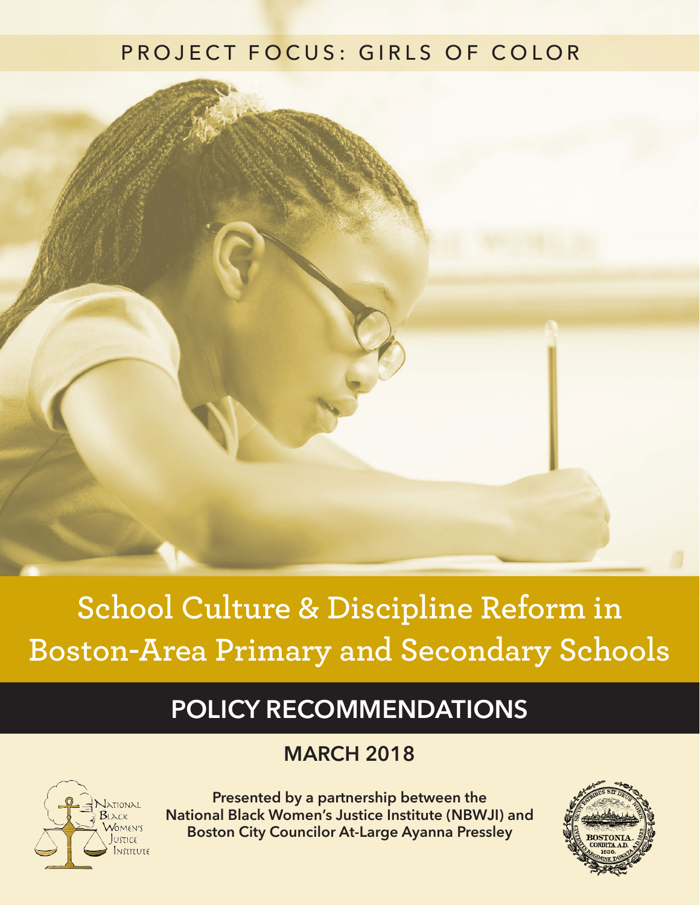### PROJECT FOCUS: GIRLS OF COLOR

# **School Culture & Discipline Reform in Boston-Area Primary and Secondary Schools**

## **POLICY RECOMMENDATIONS**

### **MARCH 2018**



**Presented by a partnership between the National Black Women's Justice Institute (NBWJI) and Boston City Councilor At-Large Ayanna Pressley**

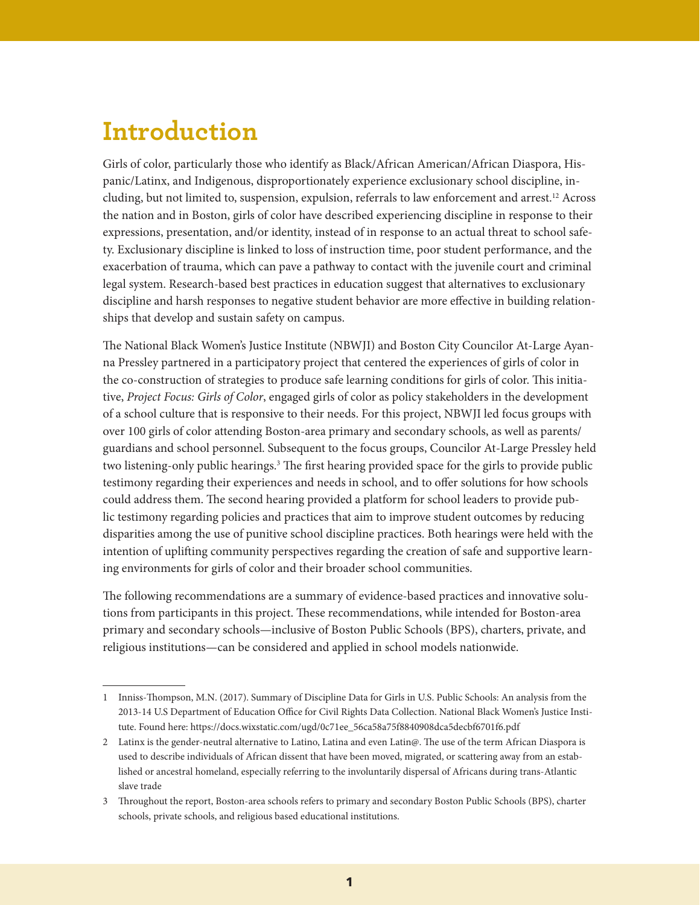### **Introduction**

Girls of color, particularly those who identify as Black/African American/African Diaspora, Hispanic/Latinx, and Indigenous, disproportionately experience exclusionary school discipline, including, but not limited to, suspension, expulsion, referrals to law enforcement and arrest.<sup>12</sup> Across the nation and in Boston, girls of color have described experiencing discipline in response to their expressions, presentation, and/or identity, instead of in response to an actual threat to school safety. Exclusionary discipline is linked to loss of instruction time, poor student performance, and the exacerbation of trauma, which can pave a pathway to contact with the juvenile court and criminal legal system. Research-based best practices in education suggest that alternatives to exclusionary discipline and harsh responses to negative student behavior are more effective in building relationships that develop and sustain safety on campus.

The National Black Women's Justice Institute (NBWJI) and Boston City Councilor At-Large Ayanna Pressley partnered in a participatory project that centered the experiences of girls of color in the co-construction of strategies to produce safe learning conditions for girls of color. This initiative, *Project Focus: Girls of Color*, engaged girls of color as policy stakeholders in the development of a school culture that is responsive to their needs. For this project, NBWJI led focus groups with over 100 girls of color attending Boston-area primary and secondary schools, as well as parents/ guardians and school personnel. Subsequent to the focus groups, Councilor At-Large Pressley held two listening-only public hearings.<sup>3</sup> The first hearing provided space for the girls to provide public testimony regarding their experiences and needs in school, and to offer solutions for how schools could address them. The second hearing provided a platform for school leaders to provide public testimony regarding policies and practices that aim to improve student outcomes by reducing disparities among the use of punitive school discipline practices. Both hearings were held with the intention of uplifting community perspectives regarding the creation of safe and supportive learning environments for girls of color and their broader school communities.

The following recommendations are a summary of evidence-based practices and innovative solutions from participants in this project. These recommendations, while intended for Boston-area primary and secondary schools—inclusive of Boston Public Schools (BPS), charters, private, and religious institutions—can be considered and applied in school models nationwide.

<sup>1</sup> Inniss-Thompson, M.N. (2017). Summary of Discipline Data for Girls in U.S. Public Schools: An analysis from the 2013-14 U.S Department of Education Office for Civil Rights Data Collection. National Black Women's Justice Institute. Found here: https://docs.wixstatic.com/ugd/0c71ee\_56ca58a75f8840908dca5decbf6701f6.pdf

<sup>2</sup> Latinx is the gender-neutral alternative to Latino, Latina and even Latin@. The use of the term African Diaspora is used to describe individuals of African dissent that have been moved, migrated, or scattering away from an established or ancestral homeland, especially referring to the involuntarily dispersal of Africans during trans-Atlantic slave trade

<sup>3</sup> Throughout the report, Boston-area schools refers to primary and secondary Boston Public Schools (BPS), charter schools, private schools, and religious based educational institutions.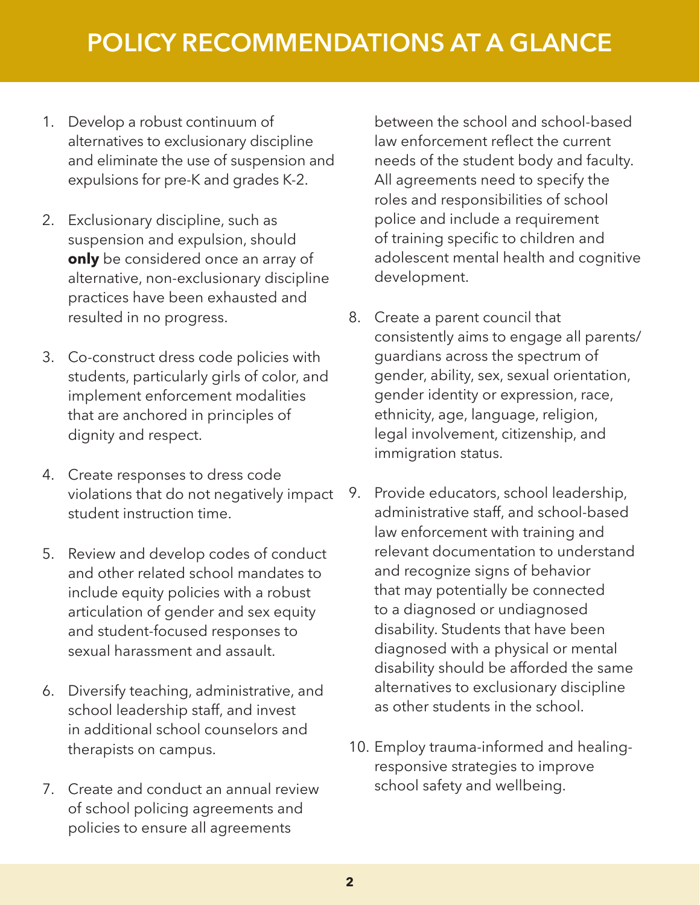- 1. Develop a robust continuum of alternatives to exclusionary discipline and eliminate the use of suspension and expulsions for pre-K and grades K-2.
- 2. Exclusionary discipline, such as suspension and expulsion, should **only** be considered once an array of alternative, non-exclusionary discipline practices have been exhausted and resulted in no progress.
- 3. Co-construct dress code policies with students, particularly girls of color, and implement enforcement modalities that are anchored in principles of dignity and respect.
- 4. Create responses to dress code violations that do not negatively impact student instruction time.
- 5. Review and develop codes of conduct and other related school mandates to include equity policies with a robust articulation of gender and sex equity and student-focused responses to sexual harassment and assault.
- 6. Diversify teaching, administrative, and school leadership staff, and invest in additional school counselors and therapists on campus.
- 7. Create and conduct an annual review of school policing agreements and policies to ensure all agreements

between the school and school-based law enforcement reflect the current needs of the student body and faculty. All agreements need to specify the roles and responsibilities of school police and include a requirement of training specific to children and adolescent mental health and cognitive development.

- 8. Create a parent council that consistently aims to engage all parents/ guardians across the spectrum of gender, ability, sex, sexual orientation, gender identity or expression, race, ethnicity, age, language, religion, legal involvement, citizenship, and immigration status.
- 9. Provide educators, school leadership, administrative staff, and school-based law enforcement with training and relevant documentation to understand and recognize signs of behavior that may potentially be connected to a diagnosed or undiagnosed disability. Students that have been diagnosed with a physical or mental disability should be afforded the same alternatives to exclusionary discipline as other students in the school.
- 10. Employ trauma-informed and healingresponsive strategies to improve school safety and wellbeing.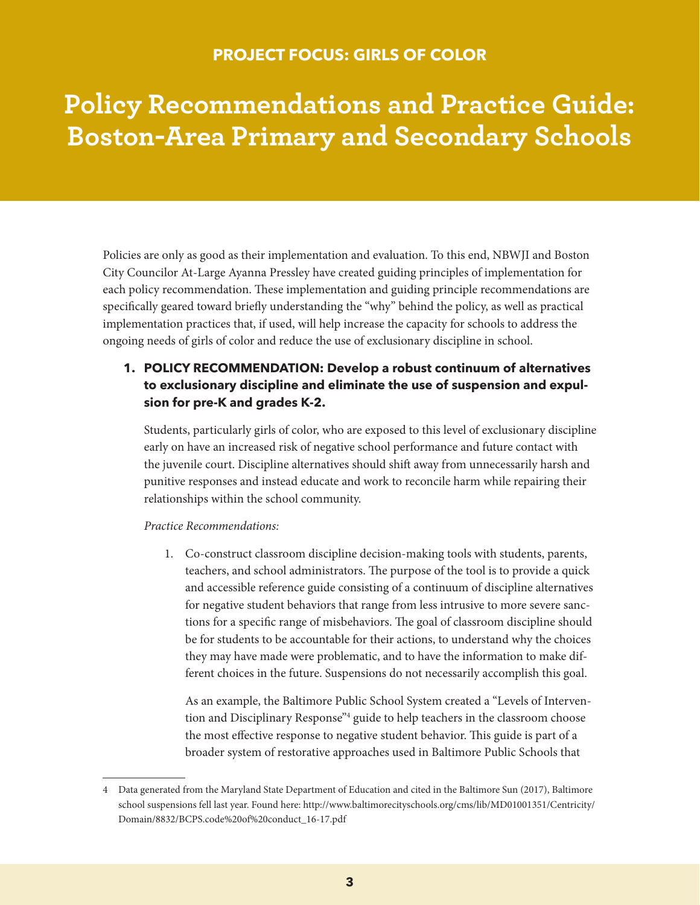#### **PROJECT FOCUS: GIRLS OF COLOR**

# **Policy Recommendations and Practice Guide: Boston-Area Primary and Secondary Schools**

Policies are only as good as their implementation and evaluation. To this end, NBWJI and Boston City Councilor At-Large Ayanna Pressley have created guiding principles of implementation for each policy recommendation. These implementation and guiding principle recommendations are specifically geared toward briefly understanding the "why" behind the policy, as well as practical implementation practices that, if used, will help increase the capacity for schools to address the ongoing needs of girls of color and reduce the use of exclusionary discipline in school.

#### **1. POLICY RECOMMENDATION: Develop a robust continuum of alternatives to exclusionary discipline and eliminate the use of suspension and expulsion for pre-K and grades K-2.**

Students, particularly girls of color, who are exposed to this level of exclusionary discipline early on have an increased risk of negative school performance and future contact with the juvenile court. Discipline alternatives should shift away from unnecessarily harsh and punitive responses and instead educate and work to reconcile harm while repairing their relationships within the school community.

#### *Practice Recommendations:*

1. Co-construct classroom discipline decision-making tools with students, parents, teachers, and school administrators. The purpose of the tool is to provide a quick and accessible reference guide consisting of a continuum of discipline alternatives for negative student behaviors that range from less intrusive to more severe sanctions for a specific range of misbehaviors. The goal of classroom discipline should be for students to be accountable for their actions, to understand why the choices they may have made were problematic, and to have the information to make different choices in the future. Suspensions do not necessarily accomplish this goal.

As an example, the Baltimore Public School System created a "Levels of Intervention and Disciplinary Response"4 guide to help teachers in the classroom choose the most effective response to negative student behavior. This guide is part of a broader system of restorative approaches used in Baltimore Public Schools that

<sup>4</sup> Data generated from the Maryland State Department of Education and cited in the Baltimore Sun (2017), Baltimore school suspensions fell last year. Found here: http://www.baltimorecityschools.org/cms/lib/MD01001351/Centricity/ Domain/8832/BCPS.code%20of%20conduct\_16-17.pdf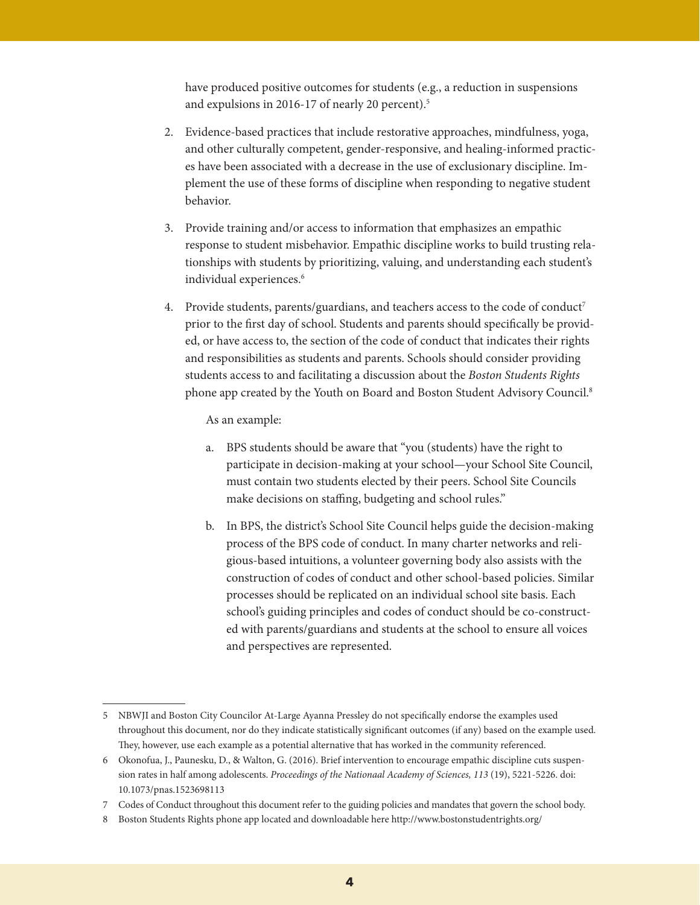have produced positive outcomes for students (e.g., a reduction in suspensions and expulsions in 2016-17 of nearly 20 percent).<sup>5</sup>

- 2. Evidence-based practices that include restorative approaches, mindfulness, yoga, and other culturally competent, gender-responsive, and healing-informed practices have been associated with a decrease in the use of exclusionary discipline. Implement the use of these forms of discipline when responding to negative student behavior.
- 3. Provide training and/or access to information that emphasizes an empathic response to student misbehavior. Empathic discipline works to build trusting relationships with students by prioritizing, valuing, and understanding each student's individual experiences.<sup>6</sup>
- 4. Provide students, parents/guardians, and teachers access to the code of conduct<sup>7</sup> prior to the first day of school. Students and parents should specifically be provided, or have access to, the section of the code of conduct that indicates their rights and responsibilities as students and parents. Schools should consider providing students access to and facilitating a discussion about the *Boston Students Rights* phone app created by the Youth on Board and Boston Student Advisory Council.8

As an example:

- a. BPS students should be aware that "you (students) have the right to participate in decision-making at your school—your School Site Council, must contain two students elected by their peers. School Site Councils make decisions on staffing, budgeting and school rules."
- b. In BPS, the district's School Site Council helps guide the decision-making process of the BPS code of conduct. In many charter networks and religious-based intuitions, a volunteer governing body also assists with the construction of codes of conduct and other school-based policies. Similar processes should be replicated on an individual school site basis. Each school's guiding principles and codes of conduct should be co-constructed with parents/guardians and students at the school to ensure all voices and perspectives are represented.

<sup>5</sup> NBWJI and Boston City Councilor At-Large Ayanna Pressley do not specifically endorse the examples used throughout this document, nor do they indicate statistically significant outcomes (if any) based on the example used. They, however, use each example as a potential alternative that has worked in the community referenced.

<sup>6</sup> Okonofua, J., Paunesku, D., & Walton, G. (2016). Brief intervention to encourage empathic discipline cuts suspension rates in half among adolescents. *Proceedings of the Nationaal Academy of Sciences, 113* (19), 5221-5226. doi: 10.1073/pnas.1523698113

<sup>7</sup> Codes of Conduct throughout this document refer to the guiding policies and mandates that govern the school body.

<sup>8</sup> Boston Students Rights phone app located and downloadable here http://www.bostonstudentrights.org/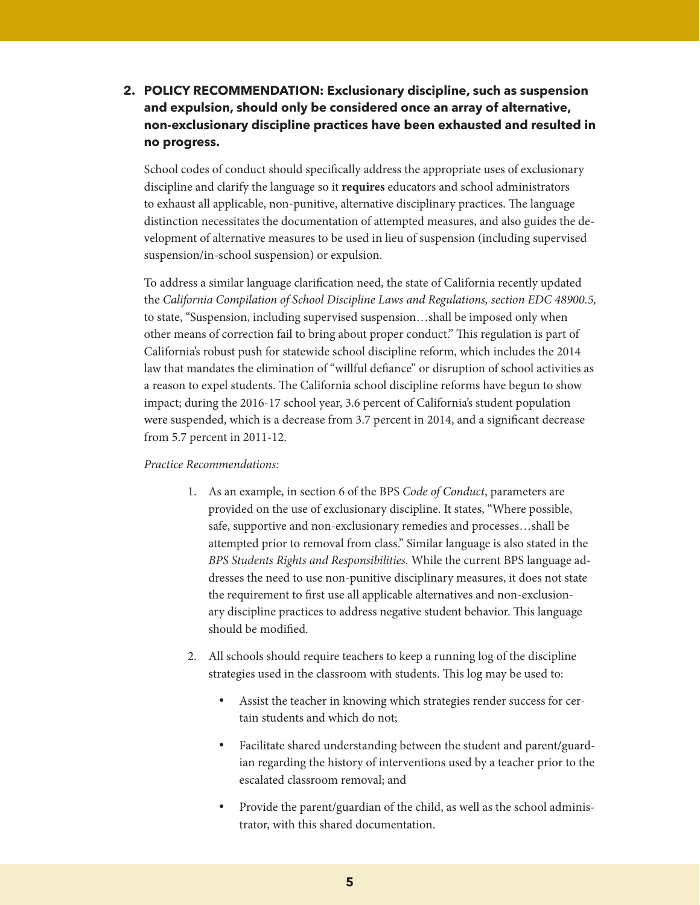**2. POLICY RECOMMENDATION: Exclusionary discipline, such as suspension and expulsion, should only be considered once an array of alternative, non-exclusionary discipline practices have been exhausted and resulted in no progress.**

School codes of conduct should specifically address the appropriate uses of exclusionary discipline and clarify the language so it **requires** educators and school administrators to exhaust all applicable, non-punitive, alternative disciplinary practices. The language distinction necessitates the documentation of attempted measures, and also guides the development of alternative measures to be used in lieu of suspension (including supervised suspension/in-school suspension) or expulsion.

To address a similar language clarification need, the state of California recently updated the *California Compilation of School Discipline Laws and Regulations, section EDC 48900.5,*  to state, "Suspension, including supervised suspension…shall be imposed only when other means of correction fail to bring about proper conduct." This regulation is part of California's robust push for statewide school discipline reform, which includes the 2014 law that mandates the elimination of "willful defiance" or disruption of school activities as a reason to expel students. The California school discipline reforms have begun to show impact; during the 2016-17 school year, 3.6 percent of California's student population were suspended, which is a decrease from 3.7 percent in 2014, and a significant decrease from 5.7 percent in 2011-12.

- 1. As an example, in section 6 of the BPS *Code of Conduct*, parameters are provided on the use of exclusionary discipline. It states, "Where possible, safe, supportive and non-exclusionary remedies and processes…shall be attempted prior to removal from class." Similar language is also stated in the *BPS Students Rights and Responsibilities.* While the current BPS language addresses the need to use non-punitive disciplinary measures, it does not state the requirement to first use all applicable alternatives and non-exclusionary discipline practices to address negative student behavior. This language should be modified.
- 2. All schools should require teachers to keep a running log of the discipline strategies used in the classroom with students. This log may be used to:
	- Assist the teacher in knowing which strategies render success for certain students and which do not;
	- Facilitate shared understanding between the student and parent/guardian regarding the history of interventions used by a teacher prior to the escalated classroom removal; and
	- Provide the parent/guardian of the child, as well as the school administrator, with this shared documentation.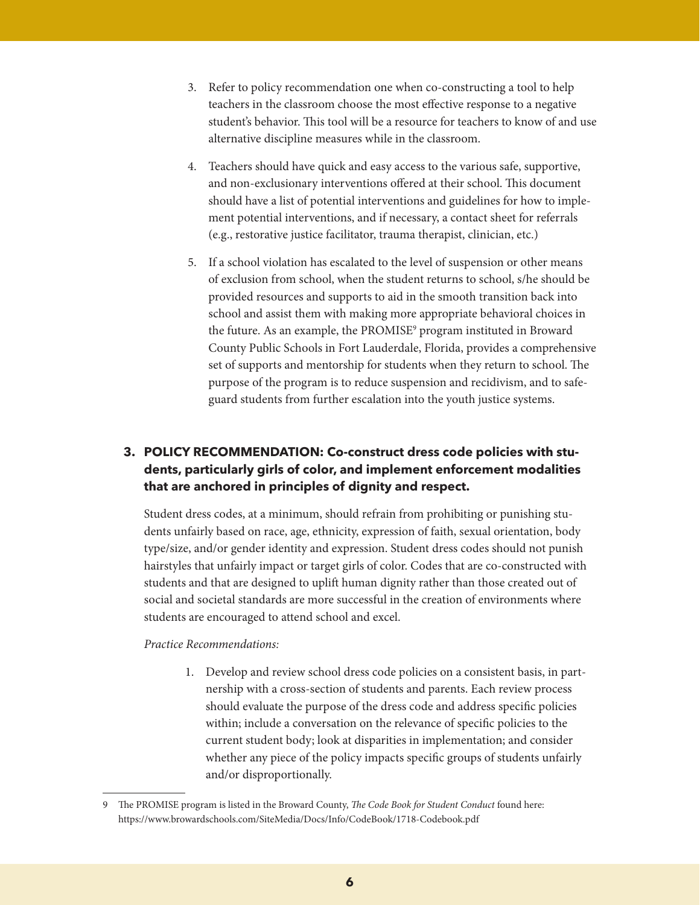- 3. Refer to policy recommendation one when co-constructing a tool to help teachers in the classroom choose the most effective response to a negative student's behavior. This tool will be a resource for teachers to know of and use alternative discipline measures while in the classroom.
- 4. Teachers should have quick and easy access to the various safe, supportive, and non-exclusionary interventions offered at their school. This document should have a list of potential interventions and guidelines for how to implement potential interventions, and if necessary, a contact sheet for referrals (e.g., restorative justice facilitator, trauma therapist, clinician, etc.)
- 5. If a school violation has escalated to the level of suspension or other means of exclusion from school, when the student returns to school, s/he should be provided resources and supports to aid in the smooth transition back into school and assist them with making more appropriate behavioral choices in the future. As an example, the PROMISE<sup>9</sup> program instituted in Broward County Public Schools in Fort Lauderdale, Florida, provides a comprehensive set of supports and mentorship for students when they return to school. The purpose of the program is to reduce suspension and recidivism, and to safeguard students from further escalation into the youth justice systems.

#### **3. POLICY RECOMMENDATION: Co-construct dress code policies with students, particularly girls of color, and implement enforcement modalities that are anchored in principles of dignity and respect.**

Student dress codes, at a minimum, should refrain from prohibiting or punishing students unfairly based on race, age, ethnicity, expression of faith, sexual orientation, body type/size, and/or gender identity and expression. Student dress codes should not punish hairstyles that unfairly impact or target girls of color. Codes that are co-constructed with students and that are designed to uplift human dignity rather than those created out of social and societal standards are more successful in the creation of environments where students are encouraged to attend school and excel.

#### *Practice Recommendations:*

1. Develop and review school dress code policies on a consistent basis, in partnership with a cross-section of students and parents. Each review process should evaluate the purpose of the dress code and address specific policies within; include a conversation on the relevance of specific policies to the current student body; look at disparities in implementation; and consider whether any piece of the policy impacts specific groups of students unfairly and/or disproportionally.

<sup>9</sup> The PROMISE program is listed in the Broward County, *The Code Book for Student Conduct* found here: https://www.browardschools.com/SiteMedia/Docs/Info/CodeBook/1718-Codebook.pdf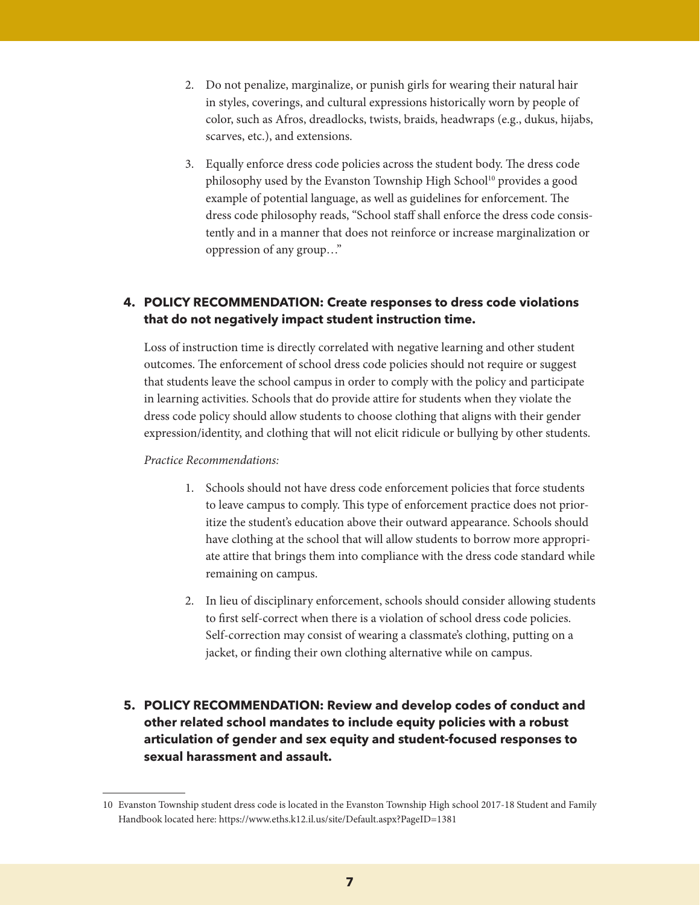- 2. Do not penalize, marginalize, or punish girls for wearing their natural hair in styles, coverings, and cultural expressions historically worn by people of color, such as Afros, dreadlocks, twists, braids, headwraps (e.g., dukus, hijabs, scarves, etc.), and extensions.
- 3. Equally enforce dress code policies across the student body. The dress code philosophy used by the Evanston Township High School<sup>10</sup> provides a good example of potential language, as well as guidelines for enforcement. The dress code philosophy reads, "School staff shall enforce the dress code consistently and in a manner that does not reinforce or increase marginalization or oppression of any group…"

#### **4. POLICY RECOMMENDATION: Create responses to dress code violations that do not negatively impact student instruction time.**

Loss of instruction time is directly correlated with negative learning and other student outcomes. The enforcement of school dress code policies should not require or suggest that students leave the school campus in order to comply with the policy and participate in learning activities. Schools that do provide attire for students when they violate the dress code policy should allow students to choose clothing that aligns with their gender expression/identity, and clothing that will not elicit ridicule or bullying by other students.

- 1. Schools should not have dress code enforcement policies that force students to leave campus to comply. This type of enforcement practice does not prioritize the student's education above their outward appearance. Schools should have clothing at the school that will allow students to borrow more appropriate attire that brings them into compliance with the dress code standard while remaining on campus.
- 2. In lieu of disciplinary enforcement, schools should consider allowing students to first self-correct when there is a violation of school dress code policies. Self-correction may consist of wearing a classmate's clothing, putting on a jacket, or finding their own clothing alternative while on campus.
- **5. POLICY RECOMMENDATION: Review and develop codes of conduct and other related school mandates to include equity policies with a robust articulation of gender and sex equity and student-focused responses to sexual harassment and assault.**

<sup>10</sup> Evanston Township student dress code is located in the Evanston Township High school 2017-18 Student and Family Handbook located here: https://www.eths.k12.il.us/site/Default.aspx?PageID=1381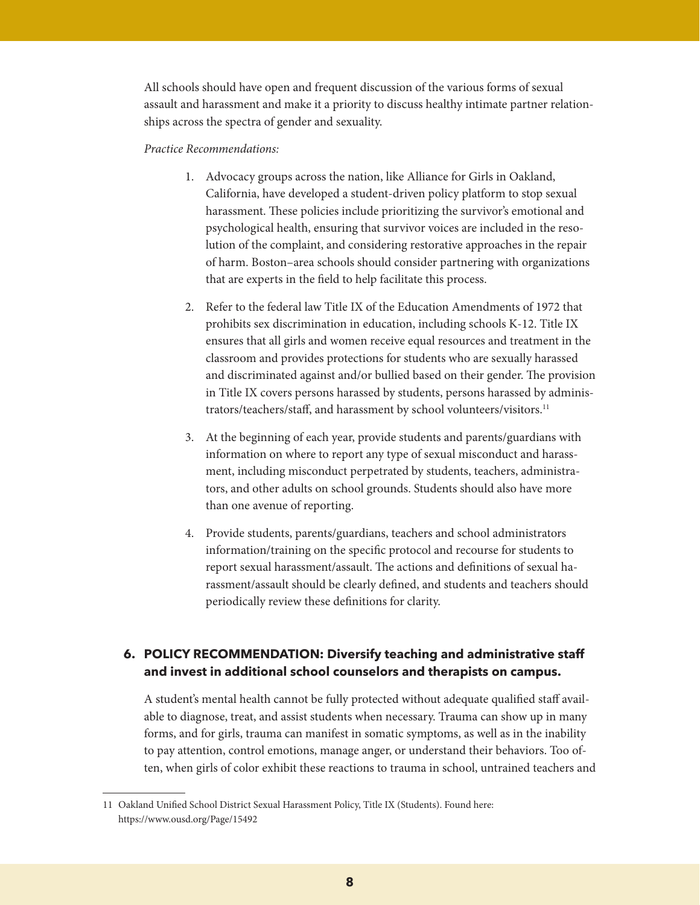All schools should have open and frequent discussion of the various forms of sexual assault and harassment and make it a priority to discuss healthy intimate partner relationships across the spectra of gender and sexuality.

#### *Practice Recommendations:*

- 1. Advocacy groups across the nation, like Alliance for Girls in Oakland, California, have developed a student-driven policy platform to stop sexual harassment. These policies include prioritizing the survivor's emotional and psychological health, ensuring that survivor voices are included in the resolution of the complaint, and considering restorative approaches in the repair of harm. Boston–area schools should consider partnering with organizations that are experts in the field to help facilitate this process.
- 2. Refer to the federal law Title IX of the Education Amendments of 1972 that prohibits sex discrimination in education, including schools K-12. Title IX ensures that all girls and women receive equal resources and treatment in the classroom and provides protections for students who are sexually harassed and discriminated against and/or bullied based on their gender. The provision in Title IX covers persons harassed by students, persons harassed by administrators/teachers/staff, and harassment by school volunteers/visitors.11
- 3. At the beginning of each year, provide students and parents/guardians with information on where to report any type of sexual misconduct and harassment, including misconduct perpetrated by students, teachers, administrators, and other adults on school grounds. Students should also have more than one avenue of reporting.
- 4. Provide students, parents/guardians, teachers and school administrators information/training on the specific protocol and recourse for students to report sexual harassment/assault. The actions and definitions of sexual harassment/assault should be clearly defined, and students and teachers should periodically review these definitions for clarity.

#### **6. POLICY RECOMMENDATION: Diversify teaching and administrative staff and invest in additional school counselors and therapists on campus.**

A student's mental health cannot be fully protected without adequate qualified staff available to diagnose, treat, and assist students when necessary. Trauma can show up in many forms, and for girls, trauma can manifest in somatic symptoms, as well as in the inability to pay attention, control emotions, manage anger, or understand their behaviors. Too often, when girls of color exhibit these reactions to trauma in school, untrained teachers and

<sup>11</sup> Oakland Unified School District Sexual Harassment Policy, Title IX (Students). Found here: https://www.ousd.org/Page/15492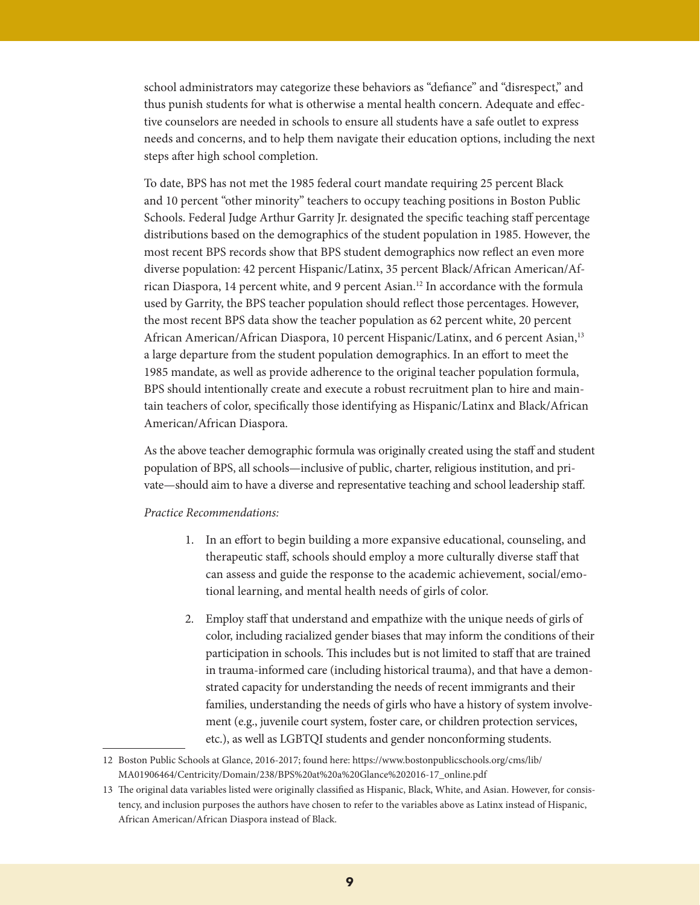school administrators may categorize these behaviors as "defiance" and "disrespect," and thus punish students for what is otherwise a mental health concern. Adequate and effective counselors are needed in schools to ensure all students have a safe outlet to express needs and concerns, and to help them navigate their education options, including the next steps after high school completion.

To date, BPS has not met the 1985 federal court mandate requiring 25 percent Black and 10 percent "other minority" teachers to occupy teaching positions in Boston Public Schools. Federal Judge Arthur Garrity Jr. designated the specific teaching staff percentage distributions based on the demographics of the student population in 1985. However, the most recent BPS records show that BPS student demographics now reflect an even more diverse population: 42 percent Hispanic/Latinx, 35 percent Black/African American/African Diaspora, 14 percent white, and 9 percent Asian.12 In accordance with the formula used by Garrity, the BPS teacher population should reflect those percentages. However, the most recent BPS data show the teacher population as 62 percent white, 20 percent African American/African Diaspora, 10 percent Hispanic/Latinx, and 6 percent Asian,<sup>13</sup> a large departure from the student population demographics. In an effort to meet the 1985 mandate, as well as provide adherence to the original teacher population formula, BPS should intentionally create and execute a robust recruitment plan to hire and maintain teachers of color, specifically those identifying as Hispanic/Latinx and Black/African American/African Diaspora.

As the above teacher demographic formula was originally created using the staff and student population of BPS, all schools—inclusive of public, charter, religious institution, and private—should aim to have a diverse and representative teaching and school leadership staff.

- 1. In an effort to begin building a more expansive educational, counseling, and therapeutic staff, schools should employ a more culturally diverse staff that can assess and guide the response to the academic achievement, social/emotional learning, and mental health needs of girls of color.
- 2. Employ staff that understand and empathize with the unique needs of girls of color, including racialized gender biases that may inform the conditions of their participation in schools. This includes but is not limited to staff that are trained in trauma-informed care (including historical trauma), and that have a demonstrated capacity for understanding the needs of recent immigrants and their families, understanding the needs of girls who have a history of system involvement (e.g., juvenile court system, foster care, or children protection services, etc.), as well as LGBTQI students and gender nonconforming students.

<sup>12</sup> Boston Public Schools at Glance, 2016-2017; found here: https://www.bostonpublicschools.org/cms/lib/ MA01906464/Centricity/Domain/238/BPS%20at%20a%20Glance%202016-17\_online.pdf

<sup>13</sup> The original data variables listed were originally classified as Hispanic, Black, White, and Asian. However, for consistency, and inclusion purposes the authors have chosen to refer to the variables above as Latinx instead of Hispanic, African American/African Diaspora instead of Black.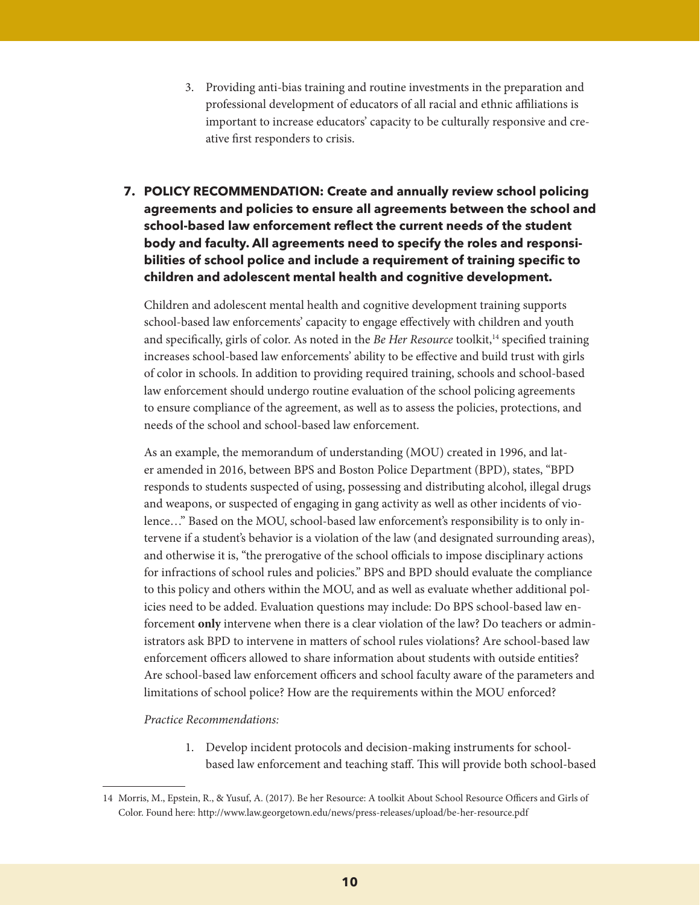- 3. Providing anti-bias training and routine investments in the preparation and professional development of educators of all racial and ethnic affiliations is important to increase educators' capacity to be culturally responsive and creative first responders to crisis.
- **7. POLICY RECOMMENDATION: Create and annually review school policing agreements and policies to ensure all agreements between the school and school-based law enforcement reflect the current needs of the student body and faculty. All agreements need to specify the roles and responsibilities of school police and include a requirement of training specific to children and adolescent mental health and cognitive development.**

Children and adolescent mental health and cognitive development training supports school-based law enforcements' capacity to engage effectively with children and youth and specifically, girls of color. As noted in the *Be Her Resource* toolkit,<sup>14</sup> specified training increases school-based law enforcements' ability to be effective and build trust with girls of color in schools. In addition to providing required training, schools and school-based law enforcement should undergo routine evaluation of the school policing agreements to ensure compliance of the agreement, as well as to assess the policies, protections, and needs of the school and school-based law enforcement.

As an example, the memorandum of understanding (MOU) created in 1996, and later amended in 2016, between BPS and Boston Police Department (BPD), states, "BPD responds to students suspected of using, possessing and distributing alcohol, illegal drugs and weapons, or suspected of engaging in gang activity as well as other incidents of violence…" Based on the MOU, school-based law enforcement's responsibility is to only intervene if a student's behavior is a violation of the law (and designated surrounding areas), and otherwise it is, "the prerogative of the school officials to impose disciplinary actions for infractions of school rules and policies." BPS and BPD should evaluate the compliance to this policy and others within the MOU, and as well as evaluate whether additional policies need to be added. Evaluation questions may include: Do BPS school-based law enforcement **only** intervene when there is a clear violation of the law? Do teachers or administrators ask BPD to intervene in matters of school rules violations? Are school-based law enforcement officers allowed to share information about students with outside entities? Are school-based law enforcement officers and school faculty aware of the parameters and limitations of school police? How are the requirements within the MOU enforced?

*Practice Recommendations:* 

1. Develop incident protocols and decision-making instruments for schoolbased law enforcement and teaching staff. This will provide both school-based

<sup>14</sup> Morris, M., Epstein, R., & Yusuf, A. (2017). Be her Resource: A toolkit About School Resource Officers and Girls of Color. Found here: http://www.law.georgetown.edu/news/press-releases/upload/be-her-resource.pdf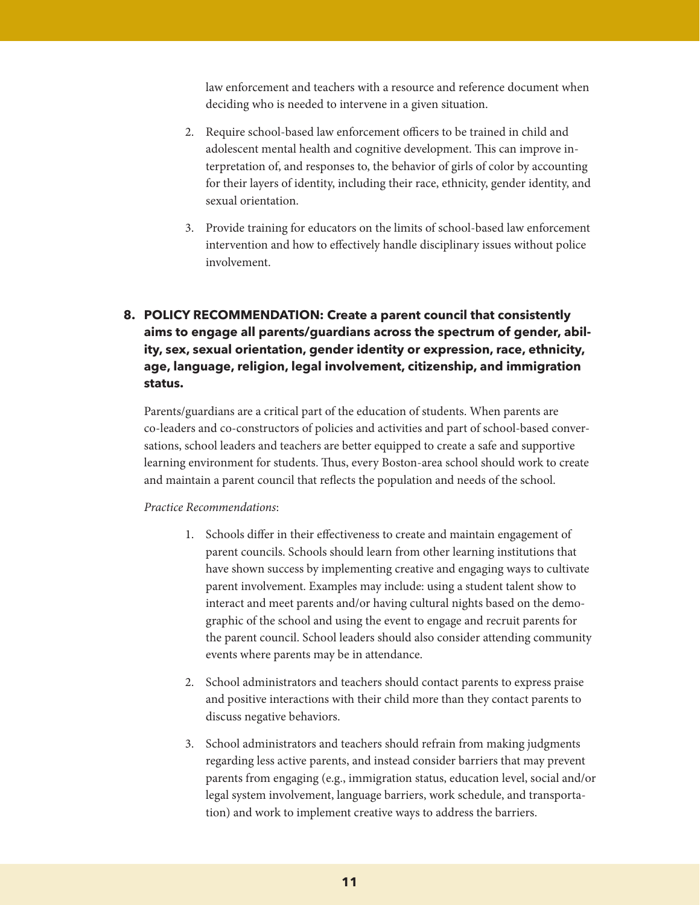law enforcement and teachers with a resource and reference document when deciding who is needed to intervene in a given situation.

- 2. Require school-based law enforcement officers to be trained in child and adolescent mental health and cognitive development. This can improve interpretation of, and responses to, the behavior of girls of color by accounting for their layers of identity, including their race, ethnicity, gender identity, and sexual orientation.
- 3. Provide training for educators on the limits of school-based law enforcement intervention and how to effectively handle disciplinary issues without police involvement.

#### **8. POLICY RECOMMENDATION: Create a parent council that consistently aims to engage all parents/guardians across the spectrum of gender, ability, sex, sexual orientation, gender identity or expression, race, ethnicity, age, language, religion, legal involvement, citizenship, and immigration status.**

Parents/guardians are a critical part of the education of students. When parents are co-leaders and co-constructors of policies and activities and part of school-based conversations, school leaders and teachers are better equipped to create a safe and supportive learning environment for students. Thus, every Boston-area school should work to create and maintain a parent council that reflects the population and needs of the school.

- 1. Schools differ in their effectiveness to create and maintain engagement of parent councils. Schools should learn from other learning institutions that have shown success by implementing creative and engaging ways to cultivate parent involvement. Examples may include: using a student talent show to interact and meet parents and/or having cultural nights based on the demographic of the school and using the event to engage and recruit parents for the parent council. School leaders should also consider attending community events where parents may be in attendance.
- 2. School administrators and teachers should contact parents to express praise and positive interactions with their child more than they contact parents to discuss negative behaviors.
- 3. School administrators and teachers should refrain from making judgments regarding less active parents, and instead consider barriers that may prevent parents from engaging (e.g., immigration status, education level, social and/or legal system involvement, language barriers, work schedule, and transportation) and work to implement creative ways to address the barriers.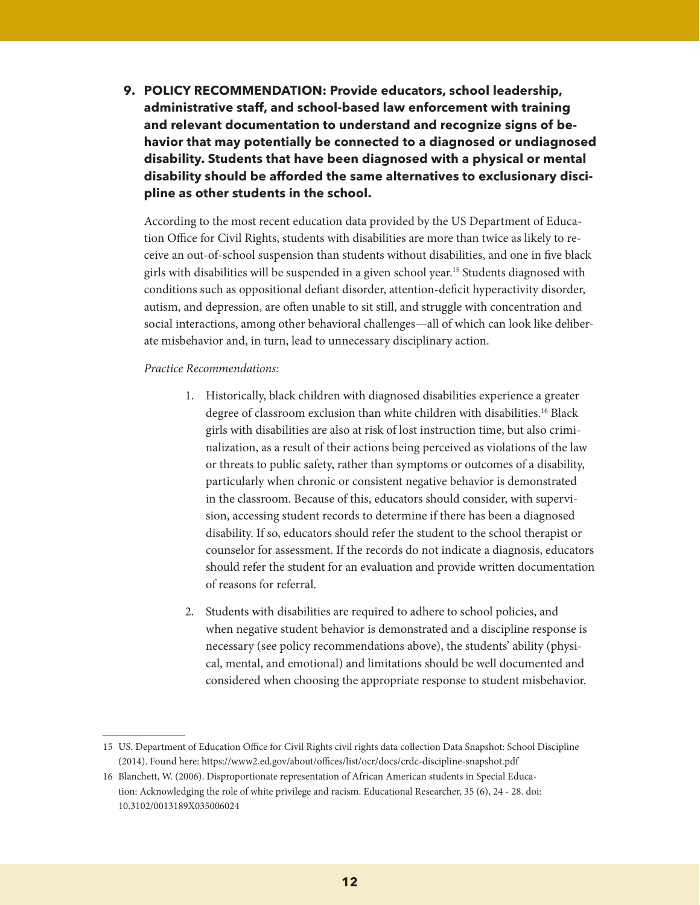**9. POLICY RECOMMENDATION: Provide educators, school leadership, administrative staff, and school-based law enforcement with training and relevant documentation to understand and recognize signs of behavior that may potentially be connected to a diagnosed or undiagnosed disability. Students that have been diagnosed with a physical or mental disability should be afforded the same alternatives to exclusionary discipline as other students in the school.**

According to the most recent education data provided by the US Department of Education Office for Civil Rights, students with disabilities are more than twice as likely to receive an out-of-school suspension than students without disabilities, and one in five black girls with disabilities will be suspended in a given school year.15 Students diagnosed with conditions such as oppositional defiant disorder, attention-deficit hyperactivity disorder, autism, and depression, are often unable to sit still, and struggle with concentration and social interactions, among other behavioral challenges—all of which can look like deliberate misbehavior and, in turn, lead to unnecessary disciplinary action.

- 1. Historically, black children with diagnosed disabilities experience a greater degree of classroom exclusion than white children with disabilities.<sup>16</sup> Black girls with disabilities are also at risk of lost instruction time, but also criminalization, as a result of their actions being perceived as violations of the law or threats to public safety, rather than symptoms or outcomes of a disability, particularly when chronic or consistent negative behavior is demonstrated in the classroom. Because of this, educators should consider, with supervision, accessing student records to determine if there has been a diagnosed disability. If so, educators should refer the student to the school therapist or counselor for assessment. If the records do not indicate a diagnosis, educators should refer the student for an evaluation and provide written documentation of reasons for referral.
- 2. Students with disabilities are required to adhere to school policies, and when negative student behavior is demonstrated and a discipline response is necessary (see policy recommendations above), the students' ability (physical, mental, and emotional) and limitations should be well documented and considered when choosing the appropriate response to student misbehavior.

<sup>15</sup> US. Department of Education Office for Civil Rights civil rights data collection Data Snapshot: School Discipline (2014). Found here: https://www2.ed.gov/about/offices/list/ocr/docs/crdc-discipline-snapshot.pdf

<sup>16</sup> Blanchett, W. (2006). Disproportionate representation of African American students in Special Education: Acknowledging the role of white privilege and racism. Educational Researcher, 35 (6), 24 - 28. doi: 10.3102/0013189X035006024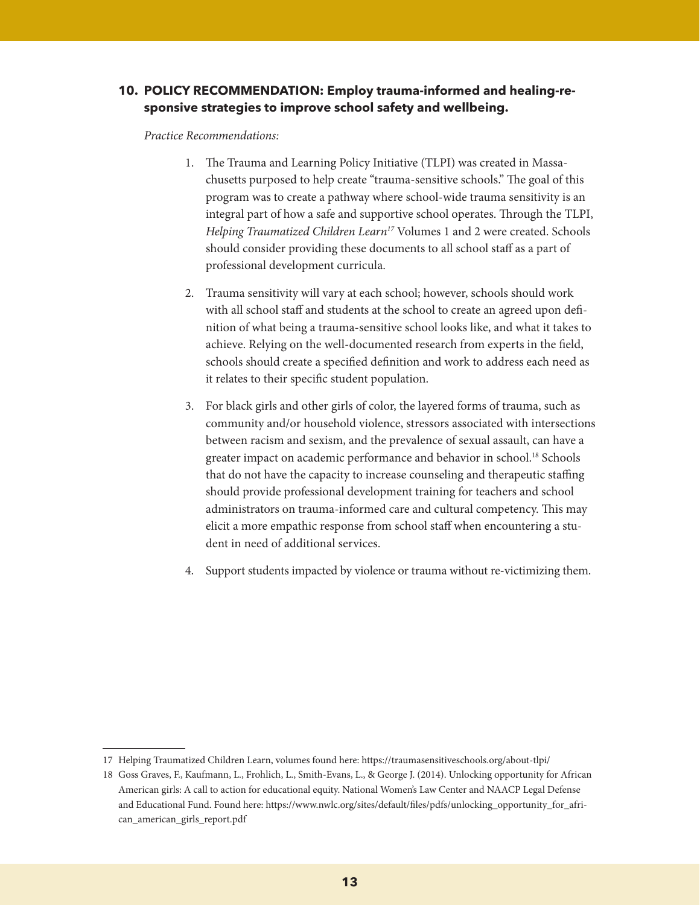#### **10. POLICY RECOMMENDATION: Employ trauma-informed and healing-responsive strategies to improve school safety and wellbeing.**

- 1. The Trauma and Learning Policy Initiative (TLPI) was created in Massachusetts purposed to help create "trauma-sensitive schools." The goal of this program was to create a pathway where school-wide trauma sensitivity is an integral part of how a safe and supportive school operates. Through the TLPI, *Helping Traumatized Children Learn17* Volumes 1 and 2 were created. Schools should consider providing these documents to all school staff as a part of professional development curricula.
- 2. Trauma sensitivity will vary at each school; however, schools should work with all school staff and students at the school to create an agreed upon definition of what being a trauma-sensitive school looks like, and what it takes to achieve. Relying on the well-documented research from experts in the field, schools should create a specified definition and work to address each need as it relates to their specific student population.
- 3. For black girls and other girls of color, the layered forms of trauma, such as community and/or household violence, stressors associated with intersections between racism and sexism, and the prevalence of sexual assault, can have a greater impact on academic performance and behavior in school.<sup>18</sup> Schools that do not have the capacity to increase counseling and therapeutic staffing should provide professional development training for teachers and school administrators on trauma-informed care and cultural competency. This may elicit a more empathic response from school staff when encountering a student in need of additional services.
- 4. Support students impacted by violence or trauma without re-victimizing them.

<sup>17</sup> Helping Traumatized Children Learn, volumes found here: https://traumasensitiveschools.org/about-tlpi/

<sup>18</sup> Goss Graves, F., Kaufmann, L., Frohlich, L., Smith-Evans, L., & George J. (2014). Unlocking opportunity for African American girls: A call to action for educational equity. National Women's Law Center and NAACP Legal Defense and Educational Fund. Found here: https://www.nwlc.org/sites/default/files/pdfs/unlocking\_opportunity\_for\_african\_american\_girls\_report.pdf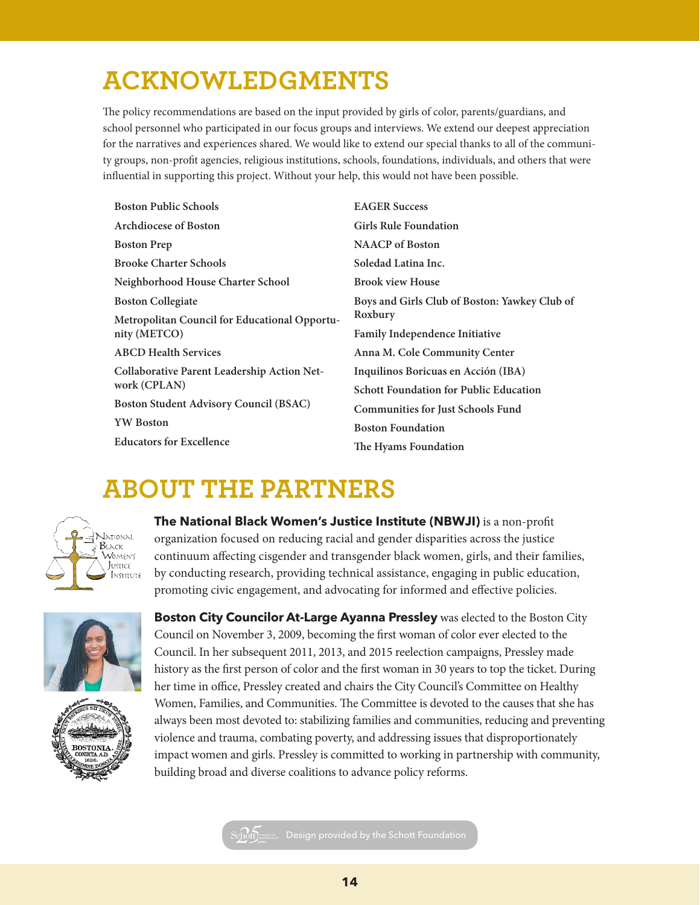# **ACKNOWLEDGMENTS**

The policy recommendations are based on the input provided by girls of color, parents/guardians, and school personnel who participated in our focus groups and interviews. We extend our deepest appreciation for the narratives and experiences shared. We would like to extend our special thanks to all of the community groups, non-profit agencies, religious institutions, schools, foundations, individuals, and others that were influential in supporting this project. Without your help, this would not have been possible.

| <b>Boston Public Schools</b>                                  | <b>EAGER Success</b>                          |
|---------------------------------------------------------------|-----------------------------------------------|
| <b>Archdiocese of Boston</b>                                  | <b>Girls Rule Foundation</b>                  |
| <b>Boston Prep</b>                                            | <b>NAACP</b> of Boston                        |
| <b>Brooke Charter Schools</b>                                 | Soledad Latina Inc.                           |
| Neighborhood House Charter School                             | <b>Brook view House</b>                       |
| <b>Boston Collegiate</b>                                      | Boys and Girls Club of Boston: Yawkey Club of |
| Metropolitan Council for Educational Opportu-<br>nity (METCO) | Roxbury                                       |
|                                                               | Family Independence Initiative                |
| <b>ABCD Health Services</b>                                   | Anna M. Cole Community Center                 |
| Collaborative Parent Leadership Action Net-<br>work (CPLAN)   | Inquilinos Boricuas en Acción (IBA)           |
|                                                               | <b>Schott Foundation for Public Education</b> |
| <b>Boston Student Advisory Council (BSAC)</b>                 | <b>Communities for Just Schools Fund</b>      |
| <b>YW</b> Boston                                              | <b>Boston Foundation</b>                      |
| <b>Educators for Excellence</b>                               | The Hyams Foundation                          |

### **ABOUT THE PARTNERS**



**The National Black Women's Justice Institute (NBWJI)** is a non-profit organization focused on reducing racial and gender disparities across the justice continuum affecting cisgender and transgender black women, girls, and their families, by conducting research, providing technical assistance, engaging in public education, promoting civic engagement, and advocating for informed and effective policies.





**Boston City Councilor At-Large Ayanna Pressley** was elected to the Boston City Council on November 3, 2009, becoming the first woman of color ever elected to the Council. In her subsequent 2011, 2013, and 2015 reelection campaigns, Pressley made history as the first person of color and the first woman in 30 years to top the ticket. During her time in office, Pressley created and chairs the City Council's Committee on Healthy Women, Families, and Communities. The Committee is devoted to the causes that she has always been most devoted to: stabilizing families and communities, reducing and preventing violence and trauma, combating poverty, and addressing issues that disproportionately impact women and girls. Pressley is committed to working in partnership with community, building broad and diverse coalitions to advance policy reforms.